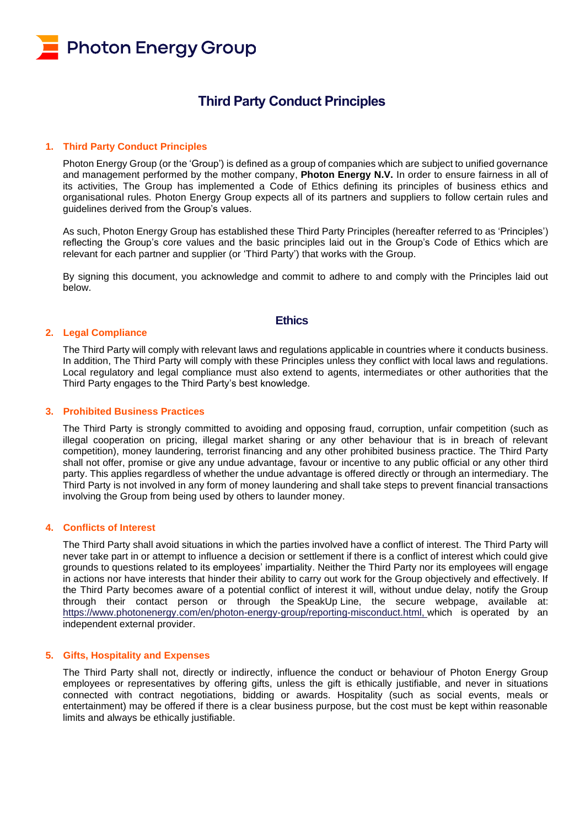

# **Third Party Conduct Principles**

#### **1. Third Party Conduct Principles**

Photon Energy Group (or the 'Group') is defined as a group of companies which are subject to unified governance and management performed by the mother company, **Photon Energy N.V.** In order to ensure fairness in all of its activities, The Group has implemented a Code of Ethics defining its principles of business ethics and organisational rules. Photon Energy Group expects all of its partners and suppliers to follow certain rules and guidelines derived from the Group's values.

As such, Photon Energy Group has established these Third Party Principles (hereafter referred to as 'Principles') reflecting the Group's core values and the basic principles laid out in the Group's Code of Ethics which are relevant for each partner and supplier (or 'Third Party') that works with the Group.

By signing this document, you acknowledge and commit to adhere to and comply with the Principles laid out below.

# **Ethics**

#### **2. Legal Compliance**

The Third Party will comply with relevant laws and regulations applicable in countries where it conducts business. In addition, The Third Party will comply with these Principles unless they conflict with local laws and regulations. Local regulatory and legal compliance must also extend to agents, intermediates or other authorities that the Third Party engages to the Third Party's best knowledge.

#### **3. Prohibited Business Practices**

The Third Party is strongly committed to avoiding and opposing fraud, corruption, unfair competition (such as illegal cooperation on pricing, illegal market sharing or any other behaviour that is in breach of relevant competition), money laundering, terrorist financing and any other prohibited business practice. The Third Party shall not offer, promise or give any undue advantage, favour or incentive to any public official or any other third party. This applies regardless of whether the undue advantage is offered directly or through an intermediary. The Third Party is not involved in any form of money laundering and shall take steps to prevent financial transactions involving the Group from being used by others to launder money.

# **4. Conflicts of Interest**

The Third Party shall avoid situations in which the parties involved have a conflict of interest. The Third Party will never take part in or attempt to influence a decision or settlement if there is a conflict of interest which could give grounds to questions related to its employees' impartiality. Neither the Third Party nor its employees will engage in actions nor have interests that hinder their ability to carry out work for the Group objectively and effectively. If the Third Party becomes aware of a potential conflict of interest it will, without undue delay, notify the Group through their contact person or through the SpeakUp Line, the secure webpage, available at: [https://www.photonenergy.com/en/photon-energy-group/reporting-misconduct.html,](https://www.nntb.cz/c/0a000a0a) which is operated by an independent external provider.

#### **5. Gifts, Hospitality and Expenses**

The Third Party shall not, directly or indirectly, influence the conduct or behaviour of Photon Energy Group employees or representatives by offering gifts, unless the gift is ethically justifiable, and never in situations connected with contract negotiations, bidding or awards. Hospitality (such as social events, meals or entertainment) may be offered if there is a clear business purpose, but the cost must be kept within reasonable limits and always be ethically justifiable.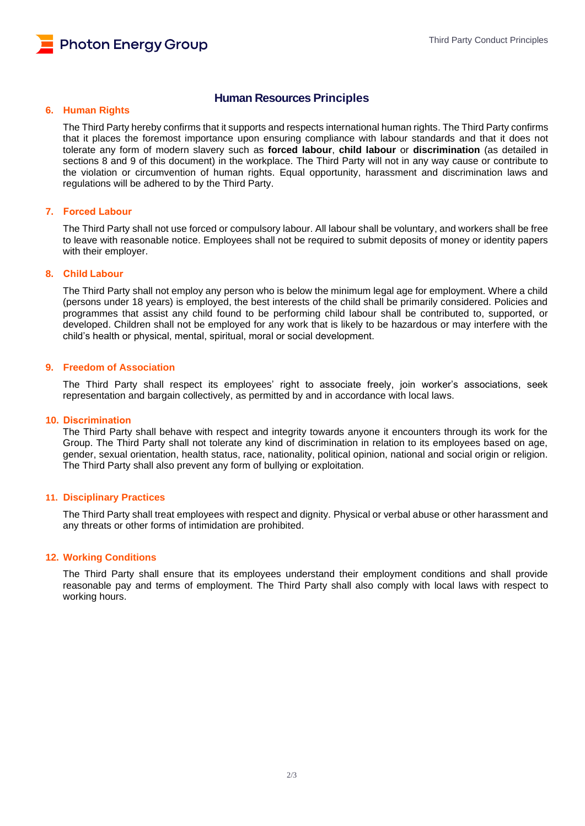# **6. Human Rights**

# **Human Resources Principles**

The Third Party hereby confirms that it supports and respects international human rights. The Third Party confirms that it places the foremost importance upon ensuring compliance with labour standards and that it does not tolerate any form of modern slavery such as **forced labour**, **child labour** or **discrimination** (as detailed in sections 8 and 9 of this document) in the workplace. The Third Party will not in any way cause or contribute to the violation or circumvention of human rights. Equal opportunity, harassment and discrimination laws and regulations will be adhered to by the Third Party.

### **7. Forced Labour**

The Third Party shall not use forced or compulsory labour. All labour shall be voluntary, and workers shall be free to leave with reasonable notice. Employees shall not be required to submit deposits of money or identity papers with their employer.

## **8. Child Labour**

The Third Party shall not employ any person who is below the minimum legal age for employment. Where a child (persons under 18 years) is employed, the best interests of the child shall be primarily considered. Policies and programmes that assist any child found to be performing child labour shall be contributed to, supported, or developed. Children shall not be employed for any work that is likely to be hazardous or may interfere with the child's health or physical, mental, spiritual, moral or social development.

#### **9. Freedom of Association**

The Third Party shall respect its employees' right to associate freely, join worker's associations, seek representation and bargain collectively, as permitted by and in accordance with local laws.

#### **10. Discrimination**

The Third Party shall behave with respect and integrity towards anyone it encounters through its work for the Group. The Third Party shall not tolerate any kind of discrimination in relation to its employees based on age, gender, sexual orientation, health status, race, nationality, political opinion, national and social origin or religion. The Third Party shall also prevent any form of bullying or exploitation.

#### **11. Disciplinary Practices**

The Third Party shall treat employees with respect and dignity. Physical or verbal abuse or other harassment and any threats or other forms of intimidation are prohibited.

#### **12. Working Conditions**

The Third Party shall ensure that its employees understand their employment conditions and shall provide reasonable pay and terms of employment. The Third Party shall also comply with local laws with respect to working hours.